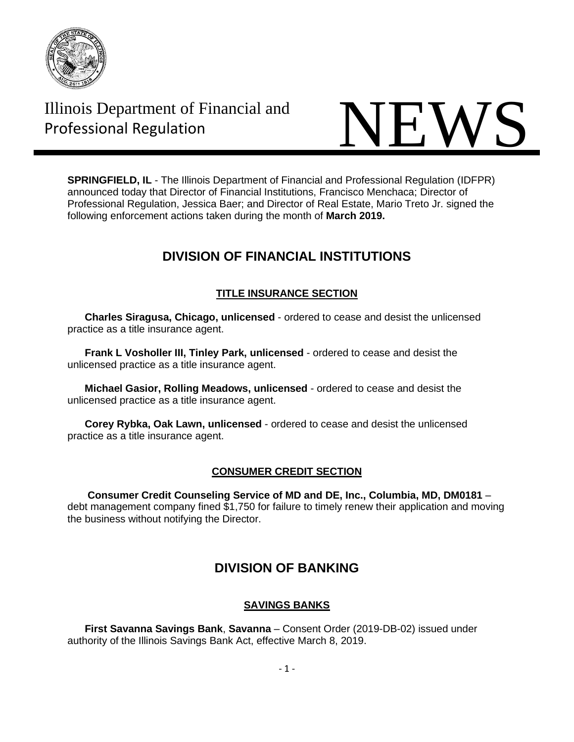

Illinois Department of Financial and



**SPRINGFIELD, IL** - The Illinois Department of Financial and Professional Regulation (IDFPR) announced today that Director of Financial Institutions, Francisco Menchaca; Director of Professional Regulation, Jessica Baer; and Director of Real Estate, Mario Treto Jr. signed the following enforcement actions taken during the month of **March 2019.**

# **DIVISION OF FINANCIAL INSTITUTIONS**

# **TITLE INSURANCE SECTION**

 **Charles Siragusa, Chicago, unlicensed** - ordered to cease and desist the unlicensed practice as a title insurance agent.

 **Frank L Vosholler III, Tinley Park, unlicensed** - ordered to cease and desist the unlicensed practice as a title insurance agent.

 **Michael Gasior, Rolling Meadows, unlicensed** - ordered to cease and desist the unlicensed practice as a title insurance agent.

 **Corey Rybka, Oak Lawn, unlicensed** - ordered to cease and desist the unlicensed practice as a title insurance agent.

# **CONSUMER CREDIT SECTION**

 **Consumer Credit Counseling Service of MD and DE, Inc., Columbia, MD, DM0181** – debt management company fined \$1,750 for failure to timely renew their application and moving the business without notifying the Director.

# **DIVISION OF BANKING**

# **SAVINGS BANKS**

 **First Savanna Savings Bank**, **Savanna** – Consent Order (2019-DB-02) issued under authority of the Illinois Savings Bank Act, effective March 8, 2019.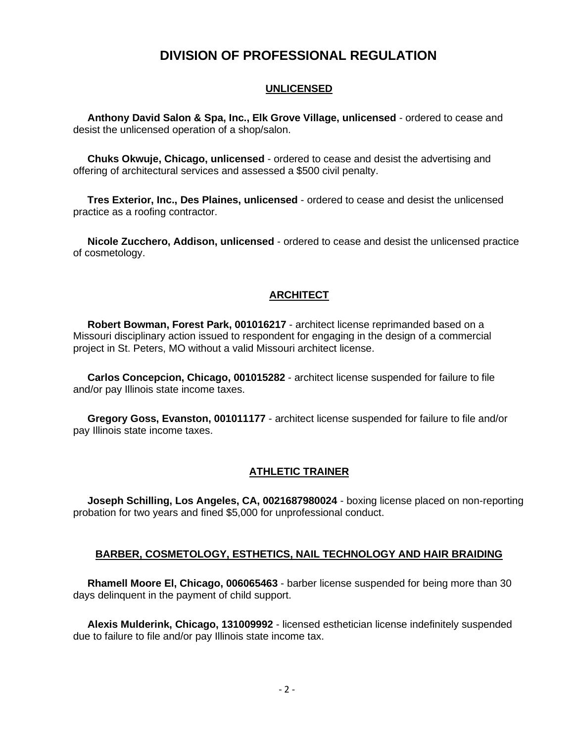# **DIVISION OF PROFESSIONAL REGULATION**

## **UNLICENSED**

 **Anthony David Salon & Spa, Inc., Elk Grove Village, unlicensed** - ordered to cease and desist the unlicensed operation of a shop/salon.

 **Chuks Okwuje, Chicago, unlicensed** - ordered to cease and desist the advertising and offering of architectural services and assessed a \$500 civil penalty.

 **Tres Exterior, Inc., Des Plaines, unlicensed** - ordered to cease and desist the unlicensed practice as a roofing contractor.

 **Nicole Zucchero, Addison, unlicensed** - ordered to cease and desist the unlicensed practice of cosmetology.

## **ARCHITECT**

 **Robert Bowman, Forest Park, 001016217** - architect license reprimanded based on a Missouri disciplinary action issued to respondent for engaging in the design of a commercial project in St. Peters, MO without a valid Missouri architect license.

 **Carlos Concepcion, Chicago, 001015282** - architect license suspended for failure to file and/or pay Illinois state income taxes.

 **Gregory Goss, Evanston, 001011177** - architect license suspended for failure to file and/or pay Illinois state income taxes.

## **ATHLETIC TRAINER**

 **Joseph Schilling, Los Angeles, CA, 0021687980024** - boxing license placed on non-reporting probation for two years and fined \$5,000 for unprofessional conduct.

#### **BARBER, COSMETOLOGY, ESTHETICS, NAIL TECHNOLOGY AND HAIR BRAIDING**

 **Rhamell Moore El, Chicago, 006065463** - barber license suspended for being more than 30 days delinquent in the payment of child support.

 **Alexis Mulderink, Chicago, 131009992** - licensed esthetician license indefinitely suspended due to failure to file and/or pay Illinois state income tax.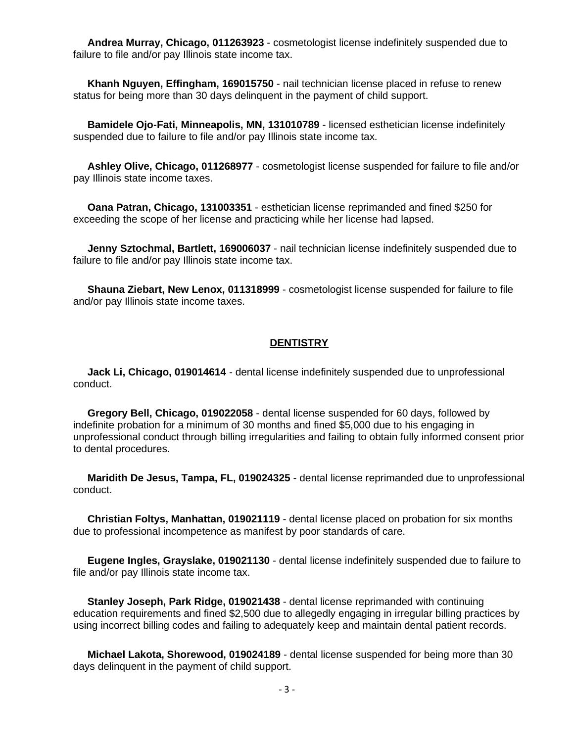**Andrea Murray, Chicago, 011263923** - cosmetologist license indefinitely suspended due to failure to file and/or pay Illinois state income tax.

 **Khanh Nguyen, Effingham, 169015750** - nail technician license placed in refuse to renew status for being more than 30 days delinquent in the payment of child support.

 **Bamidele Ojo-Fati, Minneapolis, MN, 131010789** - licensed esthetician license indefinitely suspended due to failure to file and/or pay Illinois state income tax.

 **Ashley Olive, Chicago, 011268977** - cosmetologist license suspended for failure to file and/or pay Illinois state income taxes.

 **Oana Patran, Chicago, 131003351** - esthetician license reprimanded and fined \$250 for exceeding the scope of her license and practicing while her license had lapsed.

 **Jenny Sztochmal, Bartlett, 169006037** - nail technician license indefinitely suspended due to failure to file and/or pay Illinois state income tax.

 **Shauna Ziebart, New Lenox, 011318999** - cosmetologist license suspended for failure to file and/or pay Illinois state income taxes.

#### **DENTISTRY**

 **Jack Li, Chicago, 019014614** - dental license indefinitely suspended due to unprofessional conduct.

 **Gregory Bell, Chicago, 019022058** - dental license suspended for 60 days, followed by indefinite probation for a minimum of 30 months and fined \$5,000 due to his engaging in unprofessional conduct through billing irregularities and failing to obtain fully informed consent prior to dental procedures.

 **Maridith De Jesus, Tampa, FL, 019024325** - dental license reprimanded due to unprofessional conduct.

 **Christian Foltys, Manhattan, 019021119** - dental license placed on probation for six months due to professional incompetence as manifest by poor standards of care.

 **Eugene Ingles, Grayslake, 019021130** - dental license indefinitely suspended due to failure to file and/or pay Illinois state income tax.

 **Stanley Joseph, Park Ridge, 019021438** - dental license reprimanded with continuing education requirements and fined \$2,500 due to allegedly engaging in irregular billing practices by using incorrect billing codes and failing to adequately keep and maintain dental patient records.

 **Michael Lakota, Shorewood, 019024189** - dental license suspended for being more than 30 days delinquent in the payment of child support.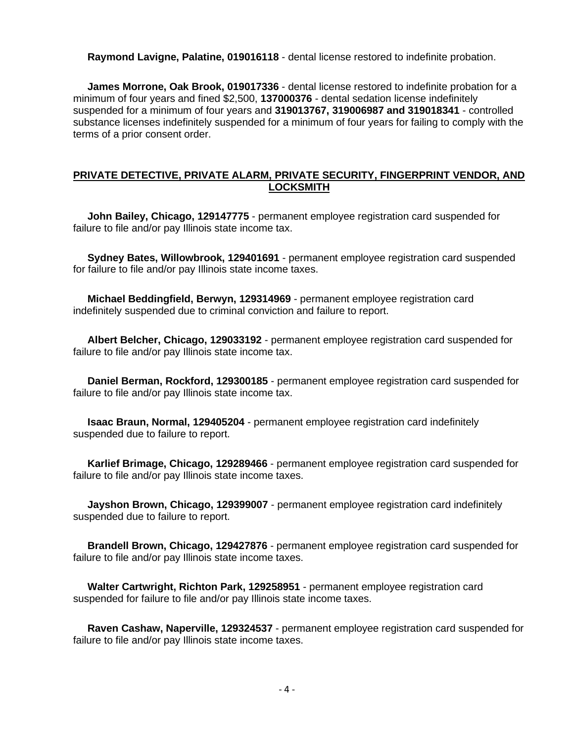**Raymond Lavigne, Palatine, 019016118** - dental license restored to indefinite probation.

 **James Morrone, Oak Brook, 019017336** - dental license restored to indefinite probation for a minimum of four years and fined \$2,500, **137000376** - dental sedation license indefinitely suspended for a minimum of four years and **319013767, 319006987 and 319018341** - controlled substance licenses indefinitely suspended for a minimum of four years for failing to comply with the terms of a prior consent order.

# **PRIVATE DETECTIVE, PRIVATE ALARM, PRIVATE SECURITY, FINGERPRINT VENDOR, AND LOCKSMITH**

 **John Bailey, Chicago, 129147775** - permanent employee registration card suspended for failure to file and/or pay Illinois state income tax.

 **Sydney Bates, Willowbrook, 129401691** - permanent employee registration card suspended for failure to file and/or pay Illinois state income taxes.

 **Michael Beddingfield, Berwyn, 129314969** - permanent employee registration card indefinitely suspended due to criminal conviction and failure to report.

 **Albert Belcher, Chicago, 129033192** - permanent employee registration card suspended for failure to file and/or pay Illinois state income tax.

 **Daniel Berman, Rockford, 129300185** - permanent employee registration card suspended for failure to file and/or pay Illinois state income tax.

 **Isaac Braun, Normal, 129405204** - permanent employee registration card indefinitely suspended due to failure to report.

 **Karlief Brimage, Chicago, 129289466** - permanent employee registration card suspended for failure to file and/or pay Illinois state income taxes.

 **Jayshon Brown, Chicago, 129399007** - permanent employee registration card indefinitely suspended due to failure to report.

 **Brandell Brown, Chicago, 129427876** - permanent employee registration card suspended for failure to file and/or pay Illinois state income taxes.

 **Walter Cartwright, Richton Park, 129258951** - permanent employee registration card suspended for failure to file and/or pay Illinois state income taxes.

 **Raven Cashaw, Naperville, 129324537** - permanent employee registration card suspended for failure to file and/or pay Illinois state income taxes.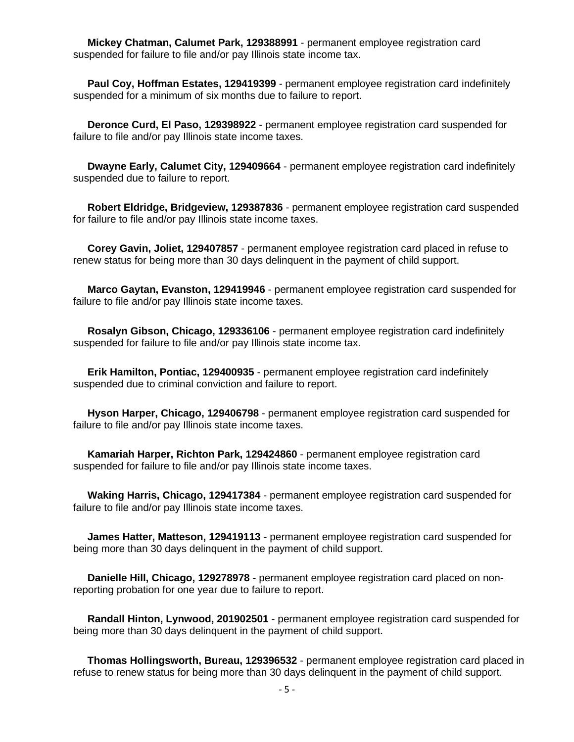**Mickey Chatman, Calumet Park, 129388991** - permanent employee registration card suspended for failure to file and/or pay Illinois state income tax.

 **Paul Coy, Hoffman Estates, 129419399** - permanent employee registration card indefinitely suspended for a minimum of six months due to failure to report.

 **Deronce Curd, El Paso, 129398922** - permanent employee registration card suspended for failure to file and/or pay Illinois state income taxes.

 **Dwayne Early, Calumet City, 129409664** - permanent employee registration card indefinitely suspended due to failure to report.

 **Robert Eldridge, Bridgeview, 129387836** - permanent employee registration card suspended for failure to file and/or pay Illinois state income taxes.

 **Corey Gavin, Joliet, 129407857** - permanent employee registration card placed in refuse to renew status for being more than 30 days delinquent in the payment of child support.

 **Marco Gaytan, Evanston, 129419946** - permanent employee registration card suspended for failure to file and/or pay Illinois state income taxes.

 **Rosalyn Gibson, Chicago, 129336106** - permanent employee registration card indefinitely suspended for failure to file and/or pay Illinois state income tax.

 **Erik Hamilton, Pontiac, 129400935** - permanent employee registration card indefinitely suspended due to criminal conviction and failure to report.

 **Hyson Harper, Chicago, 129406798** - permanent employee registration card suspended for failure to file and/or pay Illinois state income taxes.

 **Kamariah Harper, Richton Park, 129424860** - permanent employee registration card suspended for failure to file and/or pay Illinois state income taxes.

 **Waking Harris, Chicago, 129417384** - permanent employee registration card suspended for failure to file and/or pay Illinois state income taxes.

 **James Hatter, Matteson, 129419113** - permanent employee registration card suspended for being more than 30 days delinquent in the payment of child support.

 **Danielle Hill, Chicago, 129278978** - permanent employee registration card placed on nonreporting probation for one year due to failure to report.

 **Randall Hinton, Lynwood, 201902501** - permanent employee registration card suspended for being more than 30 days delinquent in the payment of child support.

 **Thomas Hollingsworth, Bureau, 129396532** - permanent employee registration card placed in refuse to renew status for being more than 30 days delinquent in the payment of child support.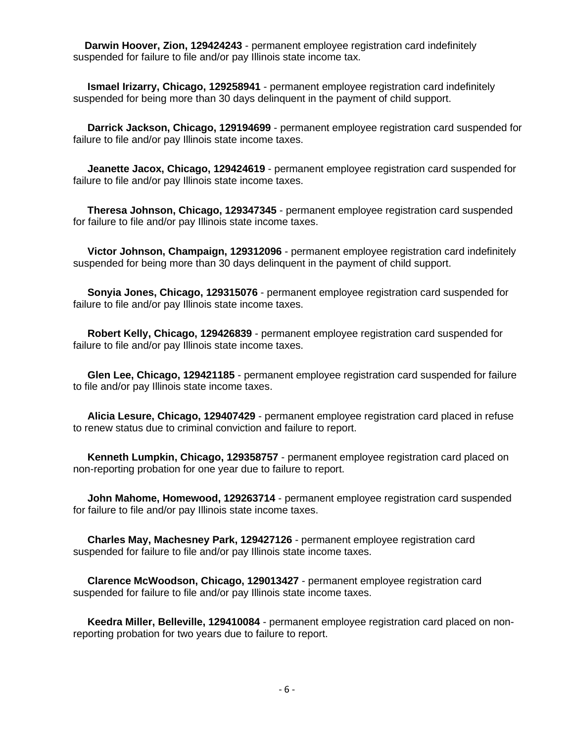**Darwin Hoover, Zion, 129424243** - permanent employee registration card indefinitely suspended for failure to file and/or pay Illinois state income tax.

 **Ismael Irizarry, Chicago, 129258941** - permanent employee registration card indefinitely suspended for being more than 30 days delinquent in the payment of child support.

 **Darrick Jackson, Chicago, 129194699** - permanent employee registration card suspended for failure to file and/or pay Illinois state income taxes.

 **Jeanette Jacox, Chicago, 129424619** - permanent employee registration card suspended for failure to file and/or pay Illinois state income taxes.

 **Theresa Johnson, Chicago, 129347345** - permanent employee registration card suspended for failure to file and/or pay Illinois state income taxes.

 **Victor Johnson, Champaign, 129312096** - permanent employee registration card indefinitely suspended for being more than 30 days delinquent in the payment of child support.

 **Sonyia Jones, Chicago, 129315076** - permanent employee registration card suspended for failure to file and/or pay Illinois state income taxes.

 **Robert Kelly, Chicago, 129426839** - permanent employee registration card suspended for failure to file and/or pay Illinois state income taxes.

 **Glen Lee, Chicago, 129421185** - permanent employee registration card suspended for failure to file and/or pay Illinois state income taxes.

 **Alicia Lesure, Chicago, 129407429** - permanent employee registration card placed in refuse to renew status due to criminal conviction and failure to report.

 **Kenneth Lumpkin, Chicago, 129358757** - permanent employee registration card placed on non-reporting probation for one year due to failure to report.

 **John Mahome, Homewood, 129263714** - permanent employee registration card suspended for failure to file and/or pay Illinois state income taxes.

 **Charles May, Machesney Park, 129427126** - permanent employee registration card suspended for failure to file and/or pay Illinois state income taxes.

 **Clarence McWoodson, Chicago, 129013427** - permanent employee registration card suspended for failure to file and/or pay Illinois state income taxes.

 **Keedra Miller, Belleville, 129410084** - permanent employee registration card placed on nonreporting probation for two years due to failure to report.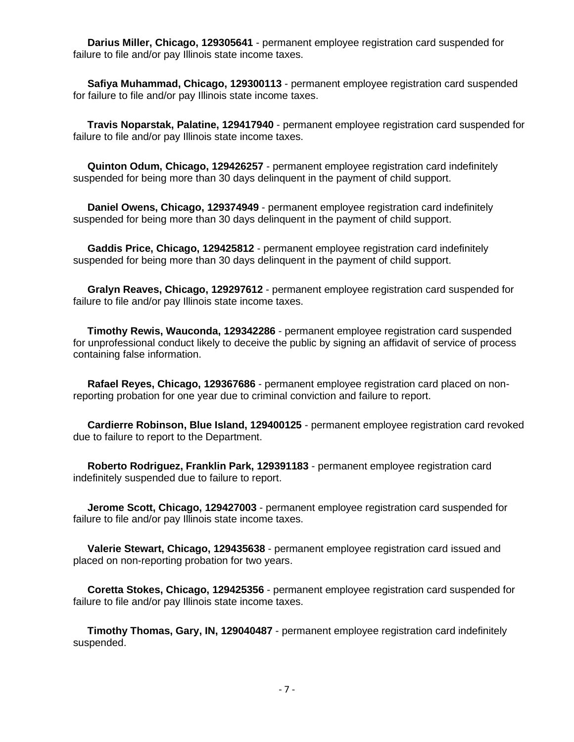**Darius Miller, Chicago, 129305641** - permanent employee registration card suspended for failure to file and/or pay Illinois state income taxes.

 **Safiya Muhammad, Chicago, 129300113** - permanent employee registration card suspended for failure to file and/or pay Illinois state income taxes.

 **Travis Noparstak, Palatine, 129417940** - permanent employee registration card suspended for failure to file and/or pay Illinois state income taxes.

 **Quinton Odum, Chicago, 129426257** - permanent employee registration card indefinitely suspended for being more than 30 days delinquent in the payment of child support.

 **Daniel Owens, Chicago, 129374949** - permanent employee registration card indefinitely suspended for being more than 30 days delinquent in the payment of child support.

 **Gaddis Price, Chicago, 129425812** - permanent employee registration card indefinitely suspended for being more than 30 days delinquent in the payment of child support.

 **Gralyn Reaves, Chicago, 129297612** - permanent employee registration card suspended for failure to file and/or pay Illinois state income taxes.

 **Timothy Rewis, Wauconda, 129342286** - permanent employee registration card suspended for unprofessional conduct likely to deceive the public by signing an affidavit of service of process containing false information.

 **Rafael Reyes, Chicago, 129367686** - permanent employee registration card placed on nonreporting probation for one year due to criminal conviction and failure to report.

 **Cardierre Robinson, Blue Island, 129400125** - permanent employee registration card revoked due to failure to report to the Department.

 **Roberto Rodriguez, Franklin Park, 129391183** - permanent employee registration card indefinitely suspended due to failure to report.

 **Jerome Scott, Chicago, 129427003** - permanent employee registration card suspended for failure to file and/or pay Illinois state income taxes.

 **Valerie Stewart, Chicago, 129435638** - permanent employee registration card issued and placed on non-reporting probation for two years.

 **Coretta Stokes, Chicago, 129425356** - permanent employee registration card suspended for failure to file and/or pay Illinois state income taxes.

 **Timothy Thomas, Gary, IN, 129040487** - permanent employee registration card indefinitely suspended.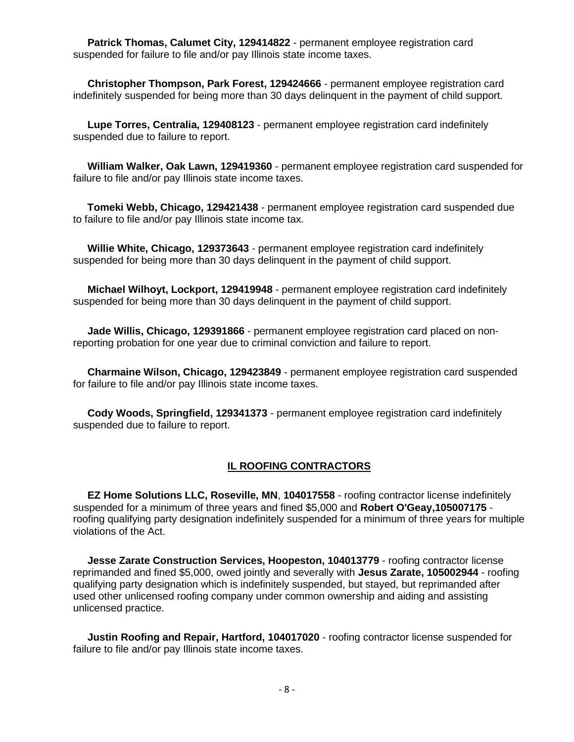**Patrick Thomas, Calumet City, 129414822** - permanent employee registration card suspended for failure to file and/or pay Illinois state income taxes.

 **Christopher Thompson, Park Forest, 129424666** - permanent employee registration card indefinitely suspended for being more than 30 days delinquent in the payment of child support.

 **Lupe Torres, Centralia, 129408123** - permanent employee registration card indefinitely suspended due to failure to report.

 **William Walker, Oak Lawn, 129419360** - permanent employee registration card suspended for failure to file and/or pay Illinois state income taxes.

 **Tomeki Webb, Chicago, 129421438** - permanent employee registration card suspended due to failure to file and/or pay Illinois state income tax.

 **Willie White, Chicago, 129373643** - permanent employee registration card indefinitely suspended for being more than 30 days delinquent in the payment of child support.

 **Michael Wilhoyt, Lockport, 129419948** - permanent employee registration card indefinitely suspended for being more than 30 days delinquent in the payment of child support.

 **Jade Willis, Chicago, 129391866** - permanent employee registration card placed on nonreporting probation for one year due to criminal conviction and failure to report.

 **Charmaine Wilson, Chicago, 129423849** - permanent employee registration card suspended for failure to file and/or pay Illinois state income taxes.

 **Cody Woods, Springfield, 129341373** - permanent employee registration card indefinitely suspended due to failure to report.

#### **IL ROOFING CONTRACTORS**

 **EZ Home Solutions LLC, Roseville, MN**, **104017558** - roofing contractor license indefinitely suspended for a minimum of three years and fined \$5,000 and **Robert O'Geay,105007175** roofing qualifying party designation indefinitely suspended for a minimum of three years for multiple violations of the Act.

 **Jesse Zarate Construction Services, Hoopeston, 104013779** - roofing contractor license reprimanded and fined \$5,000, owed jointly and severally with **Jesus Zarate, 105002944** - roofing qualifying party designation which is indefinitely suspended, but stayed, but reprimanded after used other unlicensed roofing company under common ownership and aiding and assisting unlicensed practice.

 **Justin Roofing and Repair, Hartford, 104017020** - roofing contractor license suspended for failure to file and/or pay Illinois state income taxes.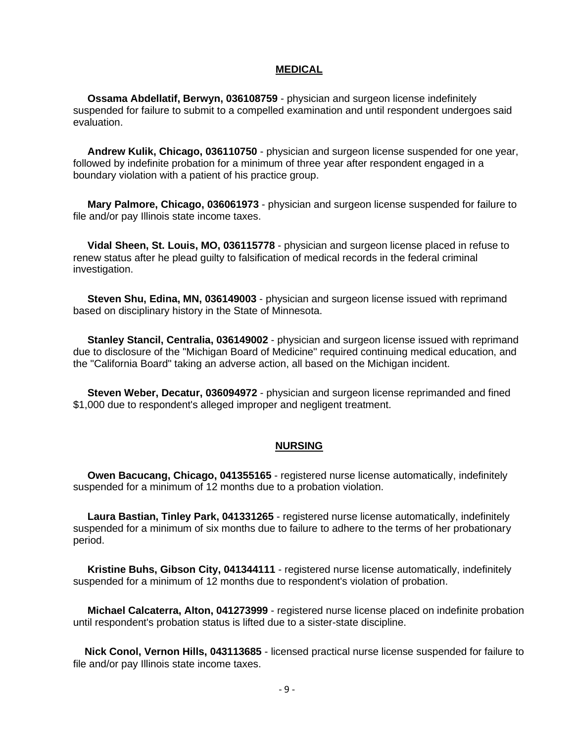#### **MEDICAL**

 **Ossama Abdellatif, Berwyn, 036108759** - physician and surgeon license indefinitely suspended for failure to submit to a compelled examination and until respondent undergoes said evaluation.

 **Andrew Kulik, Chicago, 036110750** - physician and surgeon license suspended for one year, followed by indefinite probation for a minimum of three year after respondent engaged in a boundary violation with a patient of his practice group.

 **Mary Palmore, Chicago, 036061973** - physician and surgeon license suspended for failure to file and/or pay Illinois state income taxes.

 **Vidal Sheen, St. Louis, MO, 036115778** - physician and surgeon license placed in refuse to renew status after he plead guilty to falsification of medical records in the federal criminal investigation.

 **Steven Shu, Edina, MN, 036149003** - physician and surgeon license issued with reprimand based on disciplinary history in the State of Minnesota.

 **Stanley Stancil, Centralia, 036149002** - physician and surgeon license issued with reprimand due to disclosure of the "Michigan Board of Medicine" required continuing medical education, and the "California Board" taking an adverse action, all based on the Michigan incident.

 **Steven Weber, Decatur, 036094972** - physician and surgeon license reprimanded and fined \$1,000 due to respondent's alleged improper and negligent treatment.

#### **NURSING**

 **Owen Bacucang, Chicago, 041355165** - registered nurse license automatically, indefinitely suspended for a minimum of 12 months due to a probation violation.

 **Laura Bastian, Tinley Park, 041331265** - registered nurse license automatically, indefinitely suspended for a minimum of six months due to failure to adhere to the terms of her probationary period.

 **Kristine Buhs, Gibson City, 041344111** - registered nurse license automatically, indefinitely suspended for a minimum of 12 months due to respondent's violation of probation.

 **Michael Calcaterra, Alton, 041273999** - registered nurse license placed on indefinite probation until respondent's probation status is lifted due to a sister-state discipline.

 **Nick Conol, Vernon Hills, 043113685** - licensed practical nurse license suspended for failure to file and/or pay Illinois state income taxes.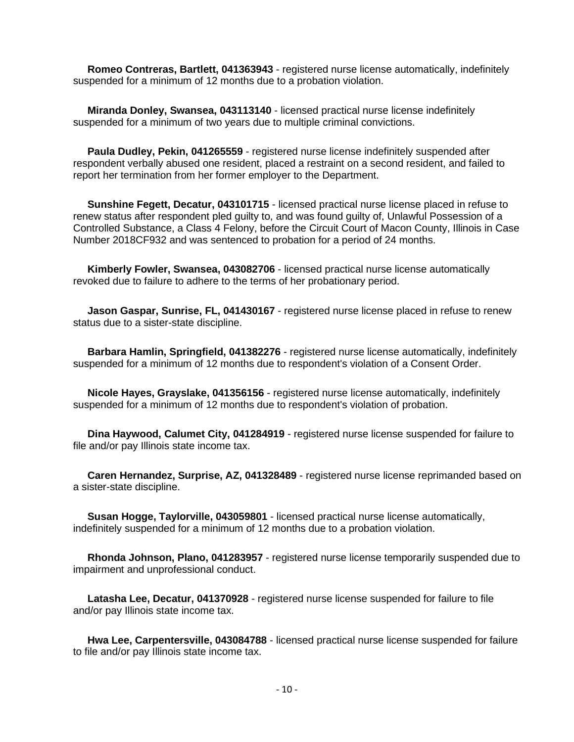**Romeo Contreras, Bartlett, 041363943** - registered nurse license automatically, indefinitely suspended for a minimum of 12 months due to a probation violation.

 **Miranda Donley, Swansea, 043113140** - licensed practical nurse license indefinitely suspended for a minimum of two years due to multiple criminal convictions.

 **Paula Dudley, Pekin, 041265559** - registered nurse license indefinitely suspended after respondent verbally abused one resident, placed a restraint on a second resident, and failed to report her termination from her former employer to the Department.

 **Sunshine Fegett, Decatur, 043101715** - licensed practical nurse license placed in refuse to renew status after respondent pled guilty to, and was found guilty of, Unlawful Possession of a Controlled Substance, a Class 4 Felony, before the Circuit Court of Macon County, Illinois in Case Number 2018CF932 and was sentenced to probation for a period of 24 months.

 **Kimberly Fowler, Swansea, 043082706** - licensed practical nurse license automatically revoked due to failure to adhere to the terms of her probationary period.

 **Jason Gaspar, Sunrise, FL, 041430167** - registered nurse license placed in refuse to renew status due to a sister-state discipline.

 **Barbara Hamlin, Springfield, 041382276** - registered nurse license automatically, indefinitely suspended for a minimum of 12 months due to respondent's violation of a Consent Order.

 **Nicole Hayes, Grayslake, 041356156** - registered nurse license automatically, indefinitely suspended for a minimum of 12 months due to respondent's violation of probation.

 **Dina Haywood, Calumet City, 041284919** - registered nurse license suspended for failure to file and/or pay Illinois state income tax.

 **Caren Hernandez, Surprise, AZ, 041328489** - registered nurse license reprimanded based on a sister-state discipline.

 **Susan Hogge, Taylorville, 043059801** - licensed practical nurse license automatically, indefinitely suspended for a minimum of 12 months due to a probation violation.

 **Rhonda Johnson, Plano, 041283957** - registered nurse license temporarily suspended due to impairment and unprofessional conduct.

 **Latasha Lee, Decatur, 041370928** - registered nurse license suspended for failure to file and/or pay Illinois state income tax.

 **Hwa Lee, Carpentersville, 043084788** - licensed practical nurse license suspended for failure to file and/or pay Illinois state income tax.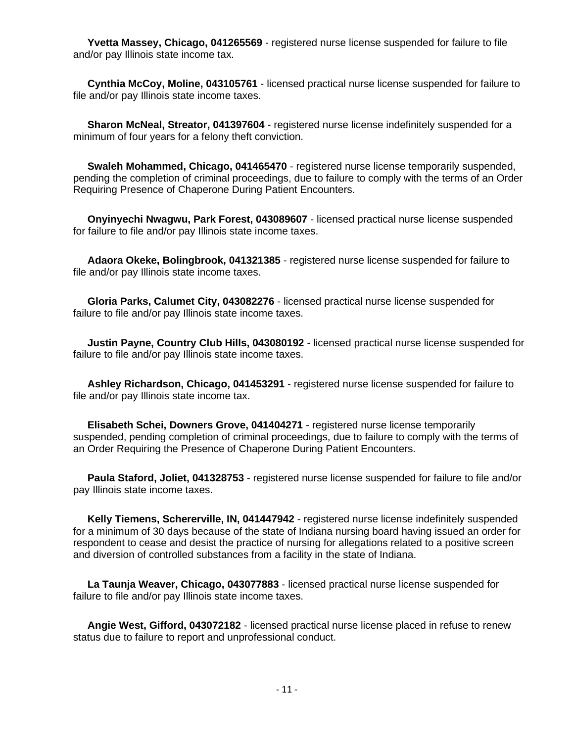**Yvetta Massey, Chicago, 041265569** - registered nurse license suspended for failure to file and/or pay Illinois state income tax.

 **Cynthia McCoy, Moline, 043105761** - licensed practical nurse license suspended for failure to file and/or pay Illinois state income taxes.

 **Sharon McNeal, Streator, 041397604** - registered nurse license indefinitely suspended for a minimum of four years for a felony theft conviction.

 **Swaleh Mohammed, Chicago, 041465470** - registered nurse license temporarily suspended, pending the completion of criminal proceedings, due to failure to comply with the terms of an Order Requiring Presence of Chaperone During Patient Encounters.

 **Onyinyechi Nwagwu, Park Forest, 043089607** - licensed practical nurse license suspended for failure to file and/or pay Illinois state income taxes.

 **Adaora Okeke, Bolingbrook, 041321385** - registered nurse license suspended for failure to file and/or pay Illinois state income taxes.

 **Gloria Parks, Calumet City, 043082276** - licensed practical nurse license suspended for failure to file and/or pay Illinois state income taxes.

 **Justin Payne, Country Club Hills, 043080192** - licensed practical nurse license suspended for failure to file and/or pay Illinois state income taxes.

 **Ashley Richardson, Chicago, 041453291** - registered nurse license suspended for failure to file and/or pay Illinois state income tax.

 **Elisabeth Schei, Downers Grove, 041404271** - registered nurse license temporarily suspended, pending completion of criminal proceedings, due to failure to comply with the terms of an Order Requiring the Presence of Chaperone During Patient Encounters.

 **Paula Staford, Joliet, 041328753** - registered nurse license suspended for failure to file and/or pay Illinois state income taxes.

 **Kelly Tiemens, Schererville, IN, 041447942** - registered nurse license indefinitely suspended for a minimum of 30 days because of the state of Indiana nursing board having issued an order for respondent to cease and desist the practice of nursing for allegations related to a positive screen and diversion of controlled substances from a facility in the state of Indiana.

 **La Taunja Weaver, Chicago, 043077883** - licensed practical nurse license suspended for failure to file and/or pay Illinois state income taxes.

 **Angie West, Gifford, 043072182** - licensed practical nurse license placed in refuse to renew status due to failure to report and unprofessional conduct.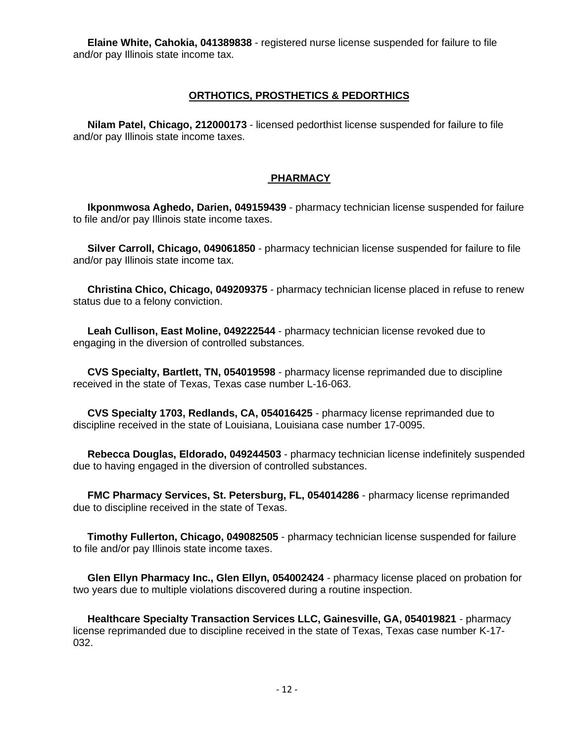**Elaine White, Cahokia, 041389838** - registered nurse license suspended for failure to file and/or pay Illinois state income tax.

## **ORTHOTICS, PROSTHETICS & PEDORTHICS**

 **Nilam Patel, Chicago, 212000173** - licensed pedorthist license suspended for failure to file and/or pay Illinois state income taxes.

### **PHARMACY**

 **Ikponmwosa Aghedo, Darien, 049159439** - pharmacy technician license suspended for failure to file and/or pay Illinois state income taxes.

 **Silver Carroll, Chicago, 049061850** - pharmacy technician license suspended for failure to file and/or pay Illinois state income tax.

 **Christina Chico, Chicago, 049209375** - pharmacy technician license placed in refuse to renew status due to a felony conviction.

 **Leah Cullison, East Moline, 049222544** - pharmacy technician license revoked due to engaging in the diversion of controlled substances.

 **CVS Specialty, Bartlett, TN, 054019598** - pharmacy license reprimanded due to discipline received in the state of Texas, Texas case number L-16-063.

 **CVS Specialty 1703, Redlands, CA, 054016425** - pharmacy license reprimanded due to discipline received in the state of Louisiana, Louisiana case number 17-0095.

 **Rebecca Douglas, Eldorado, 049244503** - pharmacy technician license indefinitely suspended due to having engaged in the diversion of controlled substances.

 **FMC Pharmacy Services, St. Petersburg, FL, 054014286** - pharmacy license reprimanded due to discipline received in the state of Texas.

 **Timothy Fullerton, Chicago, 049082505** - pharmacy technician license suspended for failure to file and/or pay Illinois state income taxes.

 **Glen Ellyn Pharmacy Inc., Glen Ellyn, 054002424** - pharmacy license placed on probation for two years due to multiple violations discovered during a routine inspection.

 **Healthcare Specialty Transaction Services LLC, Gainesville, GA, 054019821** - pharmacy license reprimanded due to discipline received in the state of Texas, Texas case number K-17- 032.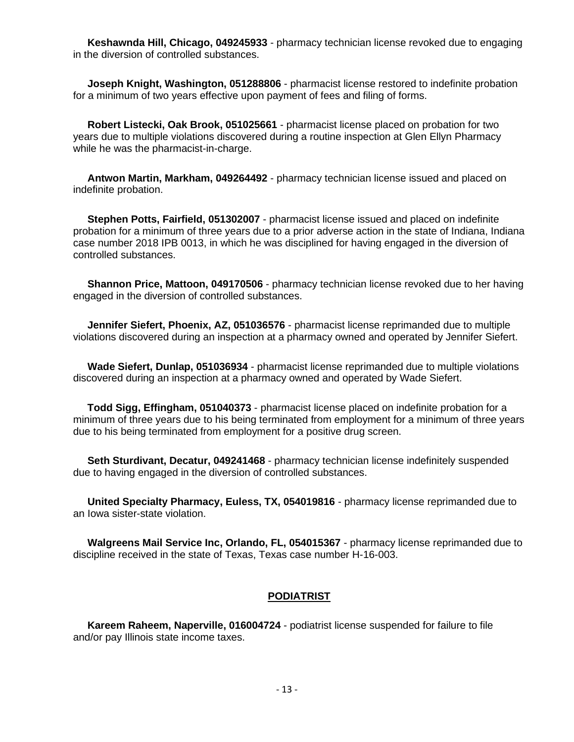**Keshawnda Hill, Chicago, 049245933** - pharmacy technician license revoked due to engaging in the diversion of controlled substances.

 **Joseph Knight, Washington, 051288806** - pharmacist license restored to indefinite probation for a minimum of two years effective upon payment of fees and filing of forms.

 **Robert Listecki, Oak Brook, 051025661** - pharmacist license placed on probation for two years due to multiple violations discovered during a routine inspection at Glen Ellyn Pharmacy while he was the pharmacist-in-charge.

 **Antwon Martin, Markham, 049264492** - pharmacy technician license issued and placed on indefinite probation.

 **Stephen Potts, Fairfield, 051302007** - pharmacist license issued and placed on indefinite probation for a minimum of three years due to a prior adverse action in the state of Indiana, Indiana case number 2018 IPB 0013, in which he was disciplined for having engaged in the diversion of controlled substances.

 **Shannon Price, Mattoon, 049170506** - pharmacy technician license revoked due to her having engaged in the diversion of controlled substances.

 **Jennifer Siefert, Phoenix, AZ, 051036576** - pharmacist license reprimanded due to multiple violations discovered during an inspection at a pharmacy owned and operated by Jennifer Siefert.

 **Wade Siefert, Dunlap, 051036934** - pharmacist license reprimanded due to multiple violations discovered during an inspection at a pharmacy owned and operated by Wade Siefert.

 **Todd Sigg, Effingham, 051040373** - pharmacist license placed on indefinite probation for a minimum of three years due to his being terminated from employment for a minimum of three years due to his being terminated from employment for a positive drug screen.

 **Seth Sturdivant, Decatur, 049241468** - pharmacy technician license indefinitely suspended due to having engaged in the diversion of controlled substances.

 **United Specialty Pharmacy, Euless, TX, 054019816** - pharmacy license reprimanded due to an Iowa sister-state violation.

 **Walgreens Mail Service Inc, Orlando, FL, 054015367** - pharmacy license reprimanded due to discipline received in the state of Texas, Texas case number H-16-003.

#### **PODIATRIST**

 **Kareem Raheem, Naperville, 016004724** - podiatrist license suspended for failure to file and/or pay Illinois state income taxes.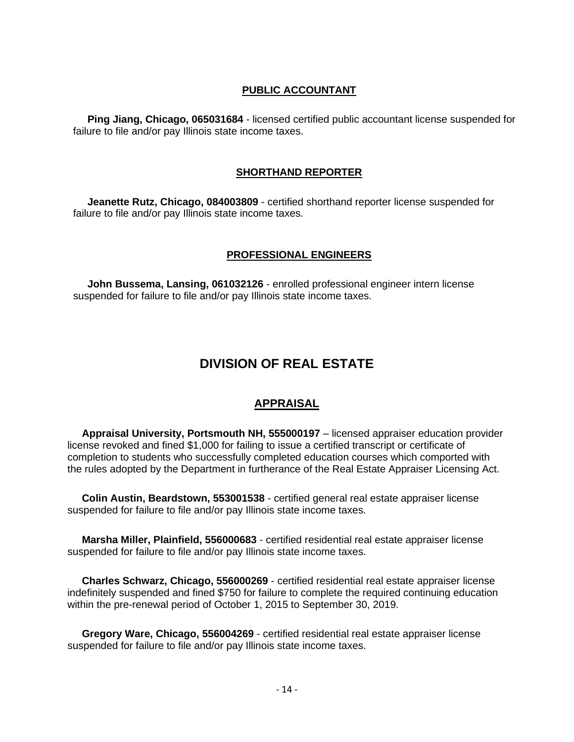# **PUBLIC ACCOUNTANT**

 **Ping Jiang, Chicago, 065031684** - licensed certified public accountant license suspended for failure to file and/or pay Illinois state income taxes.

## **SHORTHAND REPORTER**

 **Jeanette Rutz, Chicago, 084003809** - certified shorthand reporter license suspended for failure to file and/or pay Illinois state income taxes.

### **PROFESSIONAL ENGINEERS**

 **John Bussema, Lansing, 061032126** - enrolled professional engineer intern license suspended for failure to file and/or pay Illinois state income taxes.

# **DIVISION OF REAL ESTATE**

# **APPRAISAL**

 **Appraisal University, Portsmouth NH, 555000197** – licensed appraiser education provider license revoked and fined \$1,000 for failing to issue a certified transcript or certificate of completion to students who successfully completed education courses which comported with the rules adopted by the Department in furtherance of the Real Estate Appraiser Licensing Act.

 **Colin Austin, Beardstown, 553001538** - certified general real estate appraiser license suspended for failure to file and/or pay Illinois state income taxes.

 **Marsha Miller, Plainfield, 556000683** - certified residential real estate appraiser license suspended for failure to file and/or pay Illinois state income taxes.

 **Charles Schwarz, Chicago, 556000269** - certified residential real estate appraiser license indefinitely suspended and fined \$750 for failure to complete the required continuing education within the pre-renewal period of October 1, 2015 to September 30, 2019.

 **Gregory Ware, Chicago, 556004269** - certified residential real estate appraiser license suspended for failure to file and/or pay Illinois state income taxes.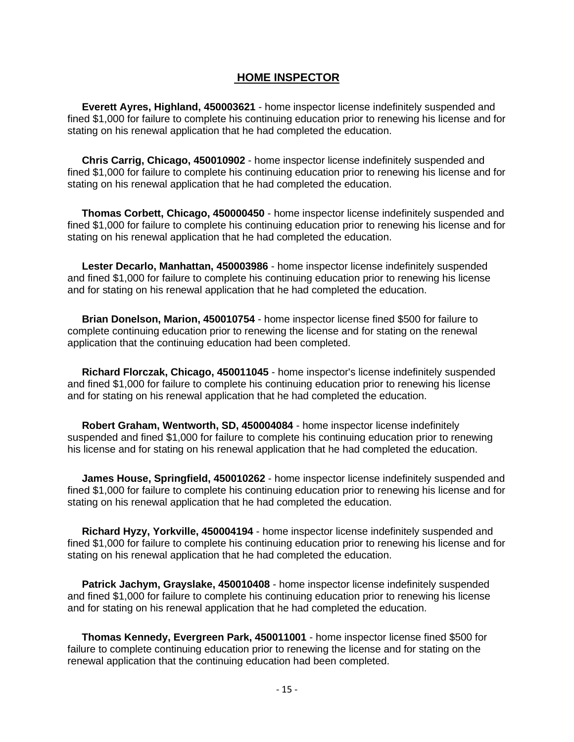## **HOME INSPECTOR**

 **Everett Ayres, Highland, 450003621** - home inspector license indefinitely suspended and fined \$1,000 for failure to complete his continuing education prior to renewing his license and for stating on his renewal application that he had completed the education.

 **Chris Carrig, Chicago, 450010902** - home inspector license indefinitely suspended and fined \$1,000 for failure to complete his continuing education prior to renewing his license and for stating on his renewal application that he had completed the education.

 **Thomas Corbett, Chicago, 450000450** - home inspector license indefinitely suspended and fined \$1,000 for failure to complete his continuing education prior to renewing his license and for stating on his renewal application that he had completed the education.

 **Lester Decarlo, Manhattan, 450003986** - home inspector license indefinitely suspended and fined \$1,000 for failure to complete his continuing education prior to renewing his license and for stating on his renewal application that he had completed the education.

 **Brian Donelson, Marion, 450010754** - home inspector license fined \$500 for failure to complete continuing education prior to renewing the license and for stating on the renewal application that the continuing education had been completed.

 **Richard Florczak, Chicago, 450011045** - home inspector's license indefinitely suspended and fined \$1,000 for failure to complete his continuing education prior to renewing his license and for stating on his renewal application that he had completed the education.

 **Robert Graham, Wentworth, SD, 450004084** - home inspector license indefinitely suspended and fined \$1,000 for failure to complete his continuing education prior to renewing his license and for stating on his renewal application that he had completed the education.

 **James House, Springfield, 450010262** - home inspector license indefinitely suspended and fined \$1,000 for failure to complete his continuing education prior to renewing his license and for stating on his renewal application that he had completed the education.

 **Richard Hyzy, Yorkville, 450004194** - home inspector license indefinitely suspended and fined \$1,000 for failure to complete his continuing education prior to renewing his license and for stating on his renewal application that he had completed the education.

 **Patrick Jachym, Grayslake, 450010408** - home inspector license indefinitely suspended and fined \$1,000 for failure to complete his continuing education prior to renewing his license and for stating on his renewal application that he had completed the education.

 **Thomas Kennedy, Evergreen Park, 450011001** - home inspector license fined \$500 for failure to complete continuing education prior to renewing the license and for stating on the renewal application that the continuing education had been completed.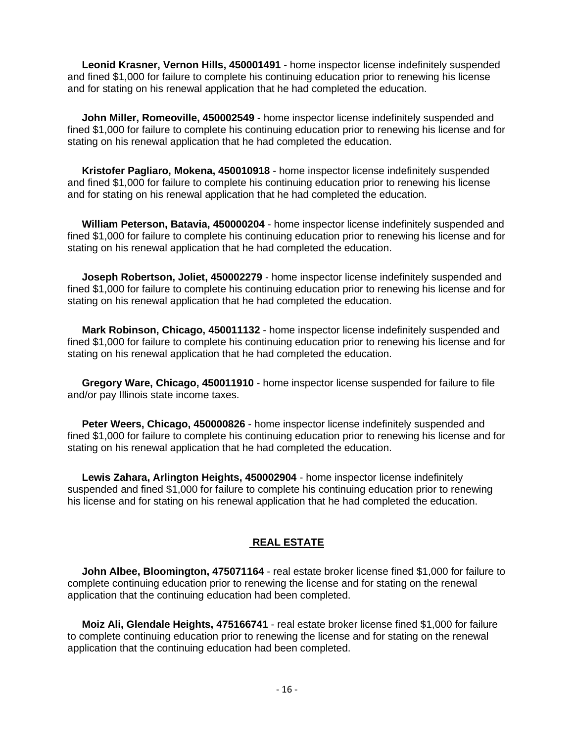**Leonid Krasner, Vernon Hills, 450001491** - home inspector license indefinitely suspended and fined \$1,000 for failure to complete his continuing education prior to renewing his license and for stating on his renewal application that he had completed the education.

 **John Miller, Romeoville, 450002549** - home inspector license indefinitely suspended and fined \$1,000 for failure to complete his continuing education prior to renewing his license and for stating on his renewal application that he had completed the education.

 **Kristofer Pagliaro, Mokena, 450010918** - home inspector license indefinitely suspended and fined \$1,000 for failure to complete his continuing education prior to renewing his license and for stating on his renewal application that he had completed the education.

 **William Peterson, Batavia, 450000204** - home inspector license indefinitely suspended and fined \$1,000 for failure to complete his continuing education prior to renewing his license and for stating on his renewal application that he had completed the education.

 **Joseph Robertson, Joliet, 450002279** - home inspector license indefinitely suspended and fined \$1,000 for failure to complete his continuing education prior to renewing his license and for stating on his renewal application that he had completed the education.

 **Mark Robinson, Chicago, 450011132** - home inspector license indefinitely suspended and fined \$1,000 for failure to complete his continuing education prior to renewing his license and for stating on his renewal application that he had completed the education.

 **Gregory Ware, Chicago, 450011910** - home inspector license suspended for failure to file and/or pay Illinois state income taxes.

 **Peter Weers, Chicago, 450000826** - home inspector license indefinitely suspended and fined \$1,000 for failure to complete his continuing education prior to renewing his license and for stating on his renewal application that he had completed the education.

 **Lewis Zahara, Arlington Heights, 450002904** - home inspector license indefinitely suspended and fined \$1,000 for failure to complete his continuing education prior to renewing his license and for stating on his renewal application that he had completed the education.

## **REAL ESTATE**

 **John Albee, Bloomington, 475071164** - real estate broker license fined \$1,000 for failure to complete continuing education prior to renewing the license and for stating on the renewal application that the continuing education had been completed.

 **Moiz Ali, Glendale Heights, 475166741** - real estate broker license fined \$1,000 for failure to complete continuing education prior to renewing the license and for stating on the renewal application that the continuing education had been completed.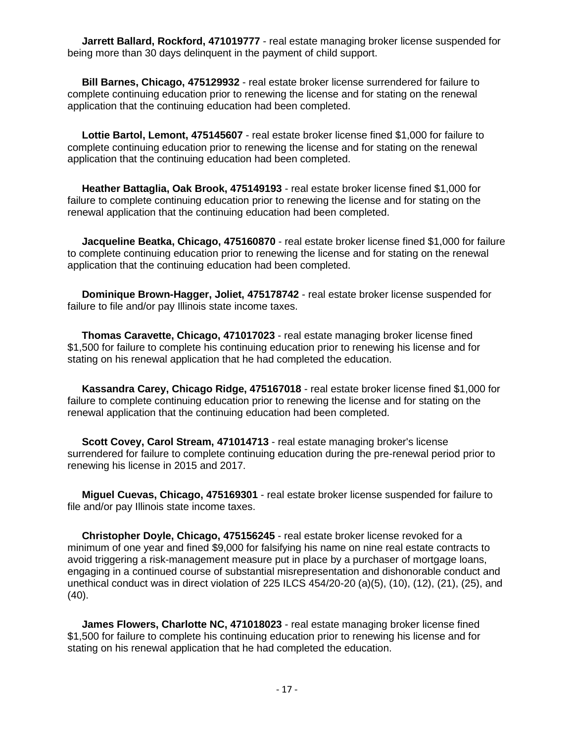**Jarrett Ballard, Rockford, 471019777** - real estate managing broker license suspended for being more than 30 days delinquent in the payment of child support.

 **Bill Barnes, Chicago, 475129932** - real estate broker license surrendered for failure to complete continuing education prior to renewing the license and for stating on the renewal application that the continuing education had been completed.

 **Lottie Bartol, Lemont, 475145607** - real estate broker license fined \$1,000 for failure to complete continuing education prior to renewing the license and for stating on the renewal application that the continuing education had been completed.

 **Heather Battaglia, Oak Brook, 475149193** - real estate broker license fined \$1,000 for failure to complete continuing education prior to renewing the license and for stating on the renewal application that the continuing education had been completed.

 **Jacqueline Beatka, Chicago, 475160870** - real estate broker license fined \$1,000 for failure to complete continuing education prior to renewing the license and for stating on the renewal application that the continuing education had been completed.

 **Dominique Brown-Hagger, Joliet, 475178742** - real estate broker license suspended for failure to file and/or pay Illinois state income taxes.

 **Thomas Caravette, Chicago, 471017023** - real estate managing broker license fined \$1,500 for failure to complete his continuing education prior to renewing his license and for stating on his renewal application that he had completed the education.

 **Kassandra Carey, Chicago Ridge, 475167018** - real estate broker license fined \$1,000 for failure to complete continuing education prior to renewing the license and for stating on the renewal application that the continuing education had been completed.

 **Scott Covey, Carol Stream, 471014713** - real estate managing broker's license surrendered for failure to complete continuing education during the pre-renewal period prior to renewing his license in 2015 and 2017.

 **Miguel Cuevas, Chicago, 475169301** - real estate broker license suspended for failure to file and/or pay Illinois state income taxes.

 **Christopher Doyle, Chicago, 475156245** - real estate broker license revoked for a minimum of one year and fined \$9,000 for falsifying his name on nine real estate contracts to avoid triggering a risk-management measure put in place by a purchaser of mortgage loans, engaging in a continued course of substantial misrepresentation and dishonorable conduct and unethical conduct was in direct violation of 225 ILCS 454/20-20 (a)(5), (10), (12), (21), (25), and  $(40)$ .

 **James Flowers, Charlotte NC, 471018023** - real estate managing broker license fined \$1,500 for failure to complete his continuing education prior to renewing his license and for stating on his renewal application that he had completed the education.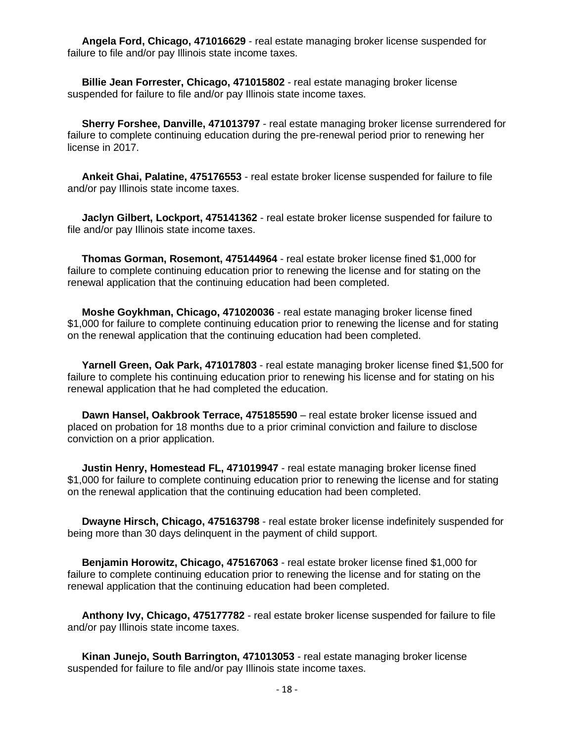**Angela Ford, Chicago, 471016629** - real estate managing broker license suspended for failure to file and/or pay Illinois state income taxes.

 **Billie Jean Forrester, Chicago, 471015802** - real estate managing broker license suspended for failure to file and/or pay Illinois state income taxes.

 **Sherry Forshee, Danville, 471013797** - real estate managing broker license surrendered for failure to complete continuing education during the pre-renewal period prior to renewing her license in 2017.

 **Ankeit Ghai, Palatine, 475176553** - real estate broker license suspended for failure to file and/or pay Illinois state income taxes.

 **Jaclyn Gilbert, Lockport, 475141362** - real estate broker license suspended for failure to file and/or pay Illinois state income taxes.

 **Thomas Gorman, Rosemont, 475144964** - real estate broker license fined \$1,000 for failure to complete continuing education prior to renewing the license and for stating on the renewal application that the continuing education had been completed.

 **Moshe Goykhman, Chicago, 471020036** - real estate managing broker license fined \$1,000 for failure to complete continuing education prior to renewing the license and for stating on the renewal application that the continuing education had been completed.

 **Yarnell Green, Oak Park, 471017803** - real estate managing broker license fined \$1,500 for failure to complete his continuing education prior to renewing his license and for stating on his renewal application that he had completed the education.

 **Dawn Hansel, Oakbrook Terrace, 475185590** – real estate broker license issued and placed on probation for 18 months due to a prior criminal conviction and failure to disclose conviction on a prior application.

 **Justin Henry, Homestead FL, 471019947** - real estate managing broker license fined \$1,000 for failure to complete continuing education prior to renewing the license and for stating on the renewal application that the continuing education had been completed.

 **Dwayne Hirsch, Chicago, 475163798** - real estate broker license indefinitely suspended for being more than 30 days delinquent in the payment of child support.

 **Benjamin Horowitz, Chicago, 475167063** - real estate broker license fined \$1,000 for failure to complete continuing education prior to renewing the license and for stating on the renewal application that the continuing education had been completed.

 **Anthony Ivy, Chicago, 475177782** - real estate broker license suspended for failure to file and/or pay Illinois state income taxes.

 **Kinan Junejo, South Barrington, 471013053** - real estate managing broker license suspended for failure to file and/or pay Illinois state income taxes.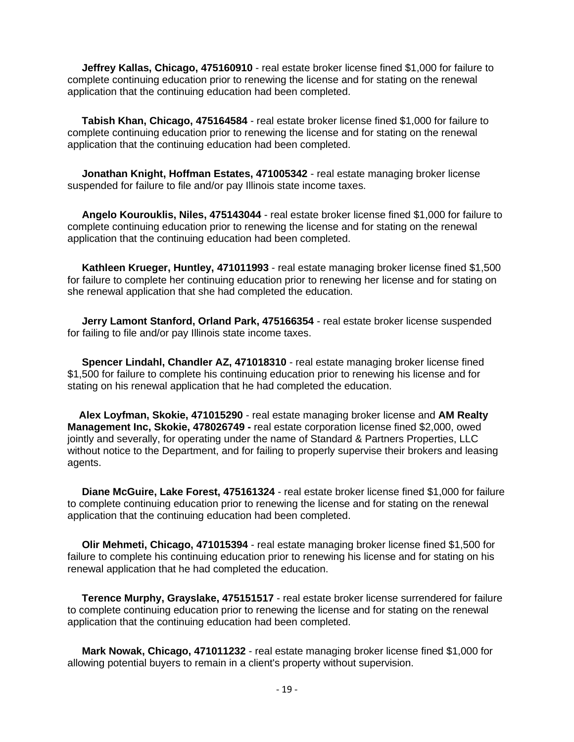**Jeffrey Kallas, Chicago, 475160910** - real estate broker license fined \$1,000 for failure to complete continuing education prior to renewing the license and for stating on the renewal application that the continuing education had been completed.

 **Tabish Khan, Chicago, 475164584** - real estate broker license fined \$1,000 for failure to complete continuing education prior to renewing the license and for stating on the renewal application that the continuing education had been completed.

 **Jonathan Knight, Hoffman Estates, 471005342** - real estate managing broker license suspended for failure to file and/or pay Illinois state income taxes.

 **Angelo Kourouklis, Niles, 475143044** - real estate broker license fined \$1,000 for failure to complete continuing education prior to renewing the license and for stating on the renewal application that the continuing education had been completed.

 **Kathleen Krueger, Huntley, 471011993** - real estate managing broker license fined \$1,500 for failure to complete her continuing education prior to renewing her license and for stating on she renewal application that she had completed the education.

 **Jerry Lamont Stanford, Orland Park, 475166354** - real estate broker license suspended for failing to file and/or pay Illinois state income taxes.

 **Spencer Lindahl, Chandler AZ, 471018310** - real estate managing broker license fined \$1,500 for failure to complete his continuing education prior to renewing his license and for stating on his renewal application that he had completed the education.

 **Alex Loyfman, Skokie, 471015290** - real estate managing broker license and **AM Realty Management Inc, Skokie, 478026749 -** real estate corporation license fined \$2,000, owed jointly and severally, for operating under the name of Standard & Partners Properties, LLC without notice to the Department, and for failing to properly supervise their brokers and leasing agents.

 **Diane McGuire, Lake Forest, 475161324** - real estate broker license fined \$1,000 for failure to complete continuing education prior to renewing the license and for stating on the renewal application that the continuing education had been completed.

 **Olir Mehmeti, Chicago, 471015394** - real estate managing broker license fined \$1,500 for failure to complete his continuing education prior to renewing his license and for stating on his renewal application that he had completed the education.

 **Terence Murphy, Grayslake, 475151517** - real estate broker license surrendered for failure to complete continuing education prior to renewing the license and for stating on the renewal application that the continuing education had been completed.

 **Mark Nowak, Chicago, 471011232** - real estate managing broker license fined \$1,000 for allowing potential buyers to remain in a client's property without supervision.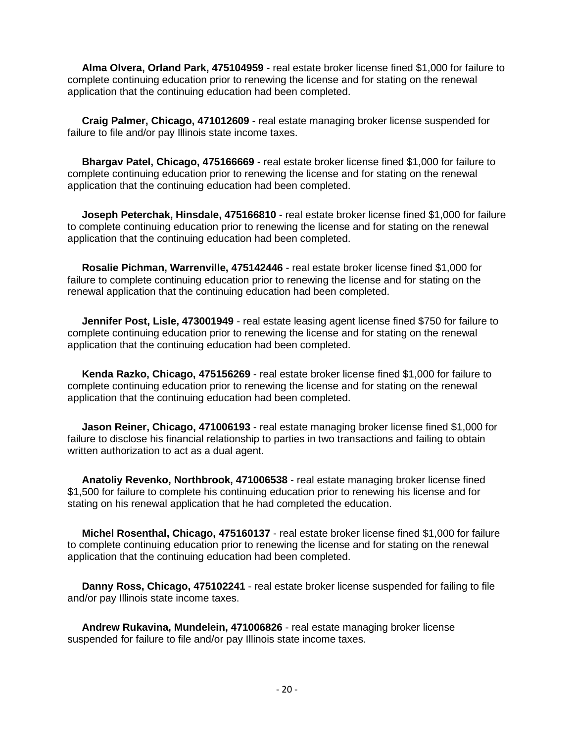**Alma Olvera, Orland Park, 475104959** - real estate broker license fined \$1,000 for failure to complete continuing education prior to renewing the license and for stating on the renewal application that the continuing education had been completed.

 **Craig Palmer, Chicago, 471012609** - real estate managing broker license suspended for failure to file and/or pay Illinois state income taxes.

 **Bhargav Patel, Chicago, 475166669** - real estate broker license fined \$1,000 for failure to complete continuing education prior to renewing the license and for stating on the renewal application that the continuing education had been completed.

 **Joseph Peterchak, Hinsdale, 475166810** - real estate broker license fined \$1,000 for failure to complete continuing education prior to renewing the license and for stating on the renewal application that the continuing education had been completed.

 **Rosalie Pichman, Warrenville, 475142446** - real estate broker license fined \$1,000 for failure to complete continuing education prior to renewing the license and for stating on the renewal application that the continuing education had been completed.

 **Jennifer Post, Lisle, 473001949** - real estate leasing agent license fined \$750 for failure to complete continuing education prior to renewing the license and for stating on the renewal application that the continuing education had been completed.

 **Kenda Razko, Chicago, 475156269** - real estate broker license fined \$1,000 for failure to complete continuing education prior to renewing the license and for stating on the renewal application that the continuing education had been completed.

 **Jason Reiner, Chicago, 471006193** - real estate managing broker license fined \$1,000 for failure to disclose his financial relationship to parties in two transactions and failing to obtain written authorization to act as a dual agent.

 **Anatoliy Revenko, Northbrook, 471006538** - real estate managing broker license fined \$1,500 for failure to complete his continuing education prior to renewing his license and for stating on his renewal application that he had completed the education.

 **Michel Rosenthal, Chicago, 475160137** - real estate broker license fined \$1,000 for failure to complete continuing education prior to renewing the license and for stating on the renewal application that the continuing education had been completed.

 **Danny Ross, Chicago, 475102241** - real estate broker license suspended for failing to file and/or pay Illinois state income taxes.

 **Andrew Rukavina, Mundelein, 471006826** - real estate managing broker license suspended for failure to file and/or pay Illinois state income taxes.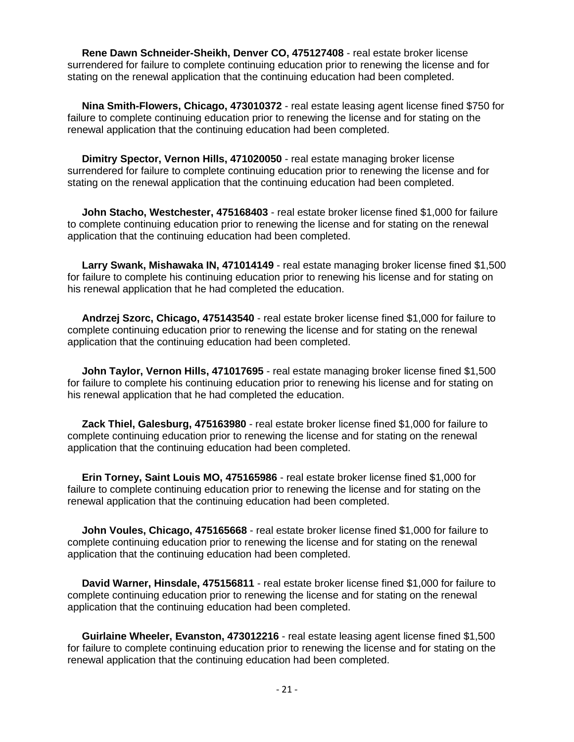**Rene Dawn Schneider-Sheikh, Denver CO, 475127408** - real estate broker license surrendered for failure to complete continuing education prior to renewing the license and for stating on the renewal application that the continuing education had been completed.

 **Nina Smith-Flowers, Chicago, 473010372** - real estate leasing agent license fined \$750 for failure to complete continuing education prior to renewing the license and for stating on the renewal application that the continuing education had been completed.

 **Dimitry Spector, Vernon Hills, 471020050** - real estate managing broker license surrendered for failure to complete continuing education prior to renewing the license and for stating on the renewal application that the continuing education had been completed.

 **John Stacho, Westchester, 475168403** - real estate broker license fined \$1,000 for failure to complete continuing education prior to renewing the license and for stating on the renewal application that the continuing education had been completed.

 **Larry Swank, Mishawaka IN, 471014149** - real estate managing broker license fined \$1,500 for failure to complete his continuing education prior to renewing his license and for stating on his renewal application that he had completed the education.

 **Andrzej Szorc, Chicago, 475143540** - real estate broker license fined \$1,000 for failure to complete continuing education prior to renewing the license and for stating on the renewal application that the continuing education had been completed.

 **John Taylor, Vernon Hills, 471017695** - real estate managing broker license fined \$1,500 for failure to complete his continuing education prior to renewing his license and for stating on his renewal application that he had completed the education.

 **Zack Thiel, Galesburg, 475163980** - real estate broker license fined \$1,000 for failure to complete continuing education prior to renewing the license and for stating on the renewal application that the continuing education had been completed.

 **Erin Torney, Saint Louis MO, 475165986** - real estate broker license fined \$1,000 for failure to complete continuing education prior to renewing the license and for stating on the renewal application that the continuing education had been completed.

 **John Voules, Chicago, 475165668** - real estate broker license fined \$1,000 for failure to complete continuing education prior to renewing the license and for stating on the renewal application that the continuing education had been completed.

 **David Warner, Hinsdale, 475156811** - real estate broker license fined \$1,000 for failure to complete continuing education prior to renewing the license and for stating on the renewal application that the continuing education had been completed.

 **Guirlaine Wheeler, Evanston, 473012216** - real estate leasing agent license fined \$1,500 for failure to complete continuing education prior to renewing the license and for stating on the renewal application that the continuing education had been completed.